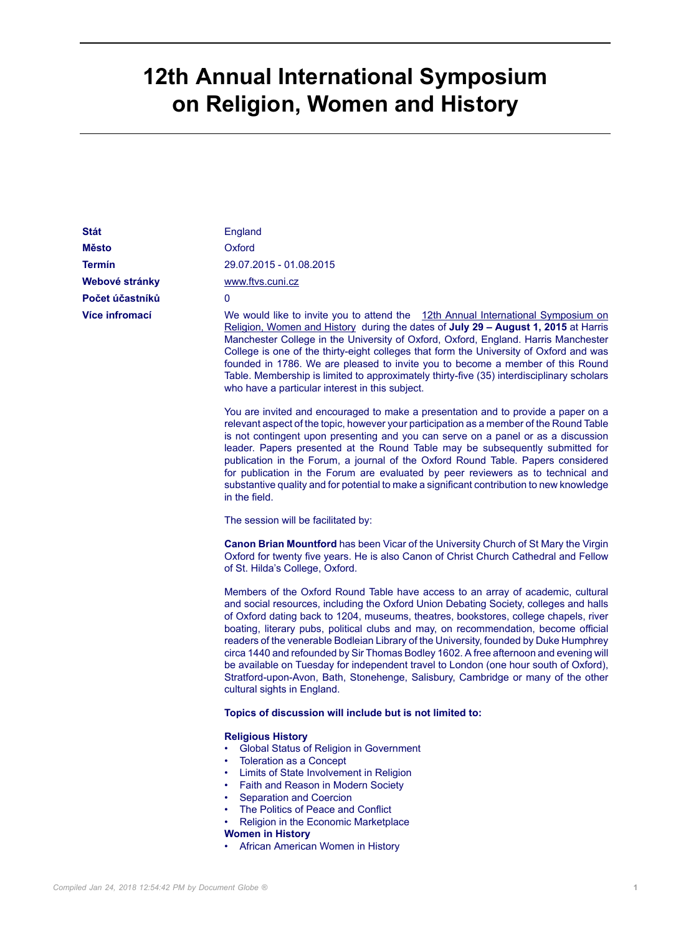## **12th Annual International Symposium on Religion, Women and History**

| <b>Stát</b>     | England                                                                                                                                                                                                                                                                                                                                                                                                                                                                                                                                                                                                                                                                                                                                              |
|-----------------|------------------------------------------------------------------------------------------------------------------------------------------------------------------------------------------------------------------------------------------------------------------------------------------------------------------------------------------------------------------------------------------------------------------------------------------------------------------------------------------------------------------------------------------------------------------------------------------------------------------------------------------------------------------------------------------------------------------------------------------------------|
| <b>Město</b>    | Oxford                                                                                                                                                                                                                                                                                                                                                                                                                                                                                                                                                                                                                                                                                                                                               |
| Termín          | 29.07.2015 - 01.08.2015                                                                                                                                                                                                                                                                                                                                                                                                                                                                                                                                                                                                                                                                                                                              |
| Webové stránky  | www.ftvs.cuni.cz                                                                                                                                                                                                                                                                                                                                                                                                                                                                                                                                                                                                                                                                                                                                     |
| Počet účastníků | 0                                                                                                                                                                                                                                                                                                                                                                                                                                                                                                                                                                                                                                                                                                                                                    |
| Více infromací  | We would like to invite you to attend the 12th Annual International Symposium on<br>Religion, Women and History during the dates of July 29 - August 1, 2015 at Harris<br>Manchester College in the University of Oxford, Oxford, England. Harris Manchester<br>College is one of the thirty-eight colleges that form the University of Oxford and was<br>founded in 1786. We are pleased to invite you to become a member of this Round<br>Table. Membership is limited to approximately thirty-five (35) interdisciplinary scholars<br>who have a particular interest in this subject.                                                                                                                                                             |
|                 | You are invited and encouraged to make a presentation and to provide a paper on a<br>relevant aspect of the topic, however your participation as a member of the Round Table<br>is not contingent upon presenting and you can serve on a panel or as a discussion<br>leader. Papers presented at the Round Table may be subsequently submitted for<br>publication in the Forum, a journal of the Oxford Round Table. Papers considered<br>for publication in the Forum are evaluated by peer reviewers as to technical and<br>substantive quality and for potential to make a significant contribution to new knowledge<br>in the field.                                                                                                             |
|                 | The session will be facilitated by:                                                                                                                                                                                                                                                                                                                                                                                                                                                                                                                                                                                                                                                                                                                  |
|                 | <b>Canon Brian Mountford</b> has been Vicar of the University Church of St Mary the Virgin<br>Oxford for twenty five years. He is also Canon of Christ Church Cathedral and Fellow<br>of St. Hilda's College, Oxford.                                                                                                                                                                                                                                                                                                                                                                                                                                                                                                                                |
|                 | Members of the Oxford Round Table have access to an array of academic, cultural<br>and social resources, including the Oxford Union Debating Society, colleges and halls<br>of Oxford dating back to 1204, museums, theatres, bookstores, college chapels, river<br>boating, literary pubs, political clubs and may, on recommendation, become official<br>readers of the venerable Bodleian Library of the University, founded by Duke Humphrey<br>circa 1440 and refounded by Sir Thomas Bodley 1602. A free afternoon and evening will<br>be available on Tuesday for independent travel to London (one hour south of Oxford),<br>Stratford-upon-Avon, Bath, Stonehenge, Salisbury, Cambridge or many of the other<br>cultural sights in England. |
|                 | Topics of discussion will include but is not limited to:                                                                                                                                                                                                                                                                                                                                                                                                                                                                                                                                                                                                                                                                                             |
|                 | <b>Religious History</b><br>Global Status of Religion in Government<br><b>Toleration as a Concept</b><br>٠<br>Limits of State Involvement in Religion<br>٠<br>Faith and Reason in Modern Society<br>Separation and Coercion<br>The Politics of Peace and Conflict<br>Religion in the Economic Marketplace<br><b>Women in History</b>                                                                                                                                                                                                                                                                                                                                                                                                                 |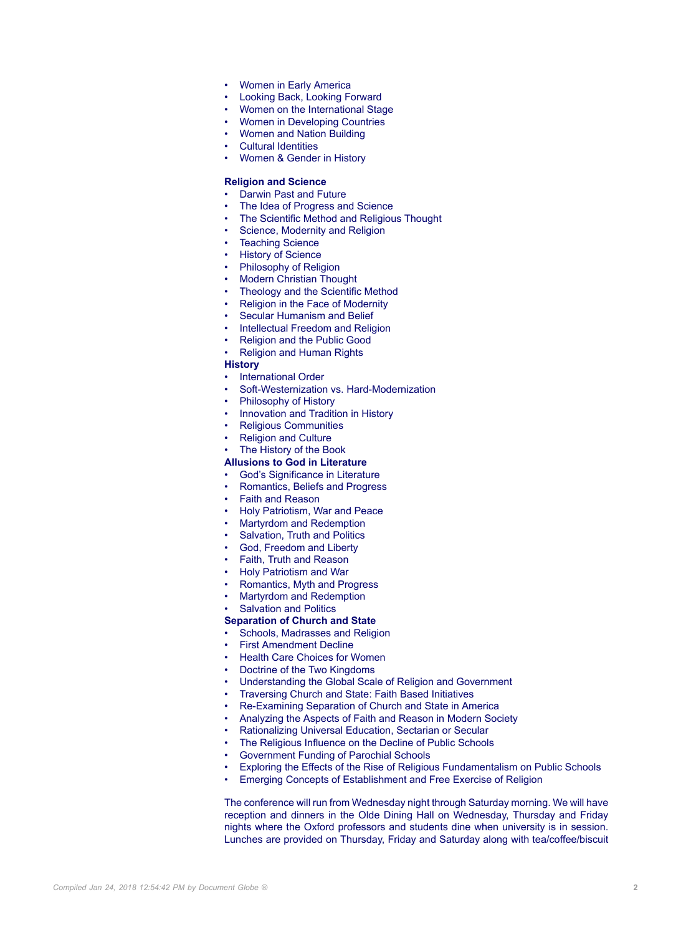- Women in Early America
- Looking Back, Looking Forward
- Women on the International Stage
- Women in Developing Countries
- Women and Nation Building
- Cultural Identities
- Women & Gender in History

## **Religion and Science**

- Darwin Past and Future
- The Idea of Progress and Science
- The Scientific Method and Religious Thought
- Science, Modernity and Religion
- **Teaching Science**
- **History of Science**
- Philosophy of Religion
- **Modern Christian Thought**
- Theology and the Scientific Method
- Religion in the Face of Modernity
- Secular Humanism and Belief
- Intellectual Freedom and Religion
- Religion and the Public Good
- Religion and Human Rights
- **History**
- International Order
- Soft-Westernization vs. Hard-Modernization
- Philosophy of History
- Innovation and Tradition in History
- Religious Communities
- Religion and Culture
- The History of the Book

## **Allusions to God in Literature**

- God's Significance in Literature
- Romantics, Beliefs and Progress
- Faith and Reason
- Holy Patriotism, War and Peace
- Martyrdom and Redemption
- Salvation, Truth and Politics
- God, Freedom and Liberty
- Faith, Truth and Reason
- Holy Patriotism and War
- Romantics, Myth and Progress
- Martyrdom and Redemption
- Salvation and Politics
- **Separation of Church and State**
- Schools, Madrasses and Religion
- **First Amendment Decline**
- Health Care Choices for Women
- Doctrine of the Two Kingdoms
- Understanding the Global Scale of Religion and Government
- Traversing Church and State: Faith Based Initiatives
- Re-Examining Separation of Church and State in America
- Analyzing the Aspects of Faith and Reason in Modern Society
- Rationalizing Universal Education, Sectarian or Secular
- The Religious Influence on the Decline of Public Schools
- Government Funding of Parochial Schools
- Exploring the Effects of the Rise of Religious Fundamentalism on Public Schools
- Emerging Concepts of Establishment and Free Exercise of Religion

The conference will run from Wednesday night through Saturday morning. We will have reception and dinners in the Olde Dining Hall on Wednesday, Thursday and Friday nights where the Oxford professors and students dine when university is in session. Lunches are provided on Thursday, Friday and Saturday along with tea/coffee/biscuit